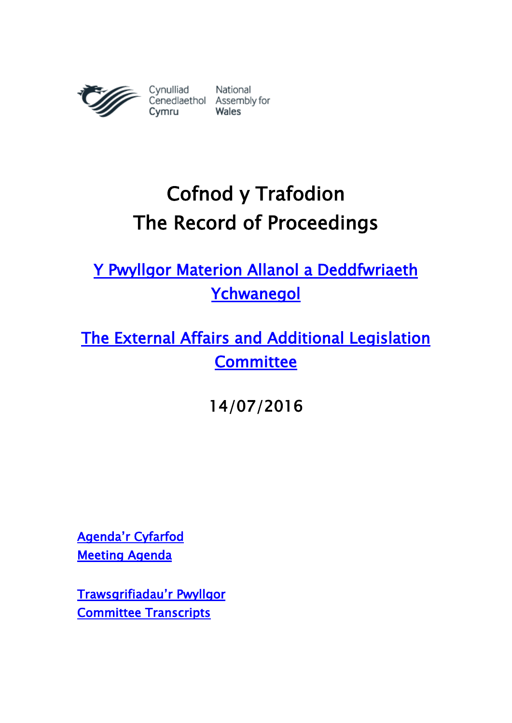

# **Cofnod y Trafodion The Record of Proceedings**

**[Y Pwyllgor Materion Allanol a Deddfwriaeth](http://www.senedd.cynulliad.cymru/mgCommitteeDetails.aspx?ID=449)  [Ychwanegol](http://www.senedd.cynulliad.cymru/mgCommitteeDetails.aspx?ID=449)**

**[The External Affairs and Additional Legislation](http://www.senedd.assembly.wales/mgCommitteeDetails.aspx?ID=449)  [Committee](http://www.senedd.assembly.wales/mgCommitteeDetails.aspx?ID=449)**

**14/07/2016**

**[Agenda'r Cyfarfod](http://www.senedd.cynulliad.cymru/ieListDocuments.aspx?CId=449&MId=3670&Ver=4) [Meeting Agenda](http://senedd.assembly.wales/ieListDocuments.aspx?CId=449&MId=3670&Ver=4)**

**[Trawsgrifiadau'r Pwyllgor](http://www.senedd.cynulliad.cymru/mgIssueHistoryHome.aspx?IId=15161) [Committee Transcripts](http://www.senedd.assembly.wales/mgIssueHistoryHome.aspx?IId=15161)**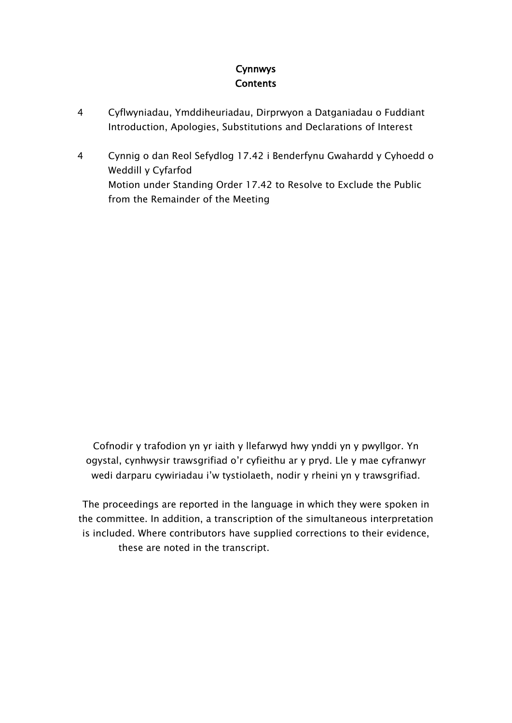## **Cynnwys Contents**

- 4 Cyflwyniadau, [Ymddiheuriadau,](#page-2-0) Dirprwyon a Datganiadau o Fuddiant Introduction, Apologies, [Substitutions](#page-2-0) and Declarations of Interest
- [4](#page-3-0) Cynnig o dan Reol Sefydlog 17.42 i [Benderfynu](#page-3-0) Gwahardd y Cyhoedd o Weddill y [Cyfarfod](#page-3-0) Motion under [Standing](#page-3-0) Order 17.42 to Resolve to Exclude the Public from the [Remainder](#page-3-0) of the Meeting

Cofnodir y trafodion yn yr iaith y llefarwyd hwy ynddi yn y pwyllgor. Yn ogystal, cynhwysir trawsgrifiad o'r cyfieithu ar y pryd. Lle y mae cyfranwyr wedi darparu cywiriadau i'w tystiolaeth, nodir y rheini yn y trawsgrifiad.

The proceedings are reported in the language in which they were spoken in the committee. In addition, a transcription of the simultaneous interpretation is included. Where contributors have supplied corrections to their evidence, these are noted in the transcript.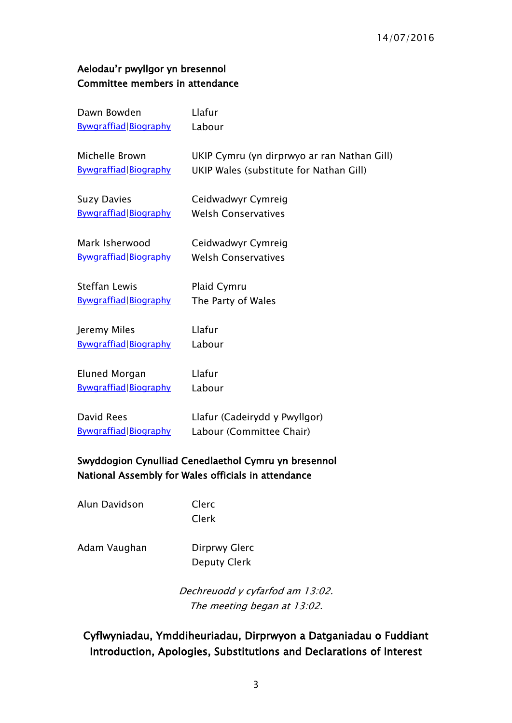#### **Aelodau'r pwyllgor yn bresennol Committee members in attendance**

| Dawn Bowden                  | Llafur                                      |
|------------------------------|---------------------------------------------|
| <b>Bywgraffiad Biography</b> | Labour                                      |
| Michelle Brown               | UKIP Cymru (yn dirprwyo ar ran Nathan Gill) |
| Bywgraffiad Biography        | UKIP Wales (substitute for Nathan Gill)     |
| <b>Suzy Davies</b>           | Ceidwadwyr Cymreig                          |
| Bywgraffiad Biography        | <b>Welsh Conservatives</b>                  |
| Mark Isherwood               | Ceidwadwyr Cymreig                          |
| Bywgraffiad Biography        | <b>Welsh Conservatives</b>                  |
| <b>Steffan Lewis</b>         | Plaid Cymru                                 |
| <b>Bywgraffiad Biography</b> | The Party of Wales                          |
| Jeremy Miles                 | Llafur                                      |
| Bywgraffiad Biography        | Labour                                      |
| Eluned Morgan                | Llafur                                      |
| Bywgraffiad Biography        | Labour                                      |
| David Rees                   | Llafur (Cadeirydd y Pwyllgor)               |
| <b>Bywgraffiad Biography</b> | Labour (Committee Chair)                    |

### **Swyddogion Cynulliad Cenedlaethol Cymru yn bresennol National Assembly for Wales officials in attendance**

Alun Davidson Clerc

Clerk

Adam Vaughan Dirprwy Glerc

Deputy Clerk

*Dechreuodd y cyfarfod am 13:02. The meeting began at 13:02.*

<span id="page-2-0"></span>**Cyflwyniadau, Ymddiheuriadau, Dirprwyon a Datganiadau o Fuddiant Introduction, Apologies, Substitutions and Declarations of Interest**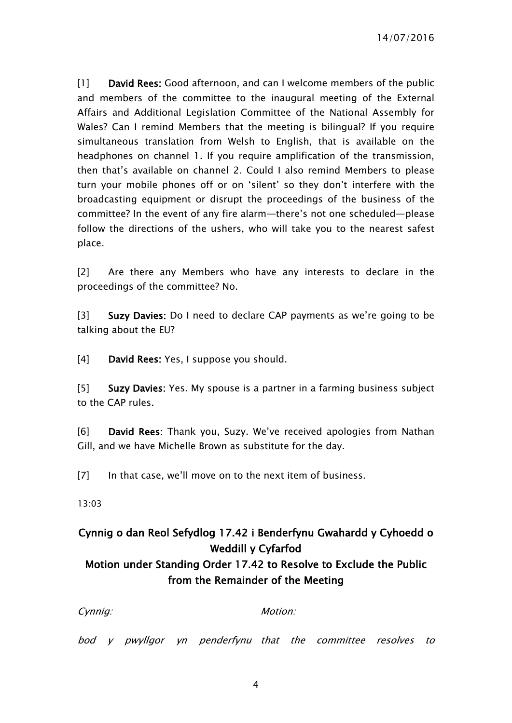[1] **David Rees:** Good afternoon, and can I welcome members of the public and members of the committee to the inaugural meeting of the External Affairs and Additional Legislation Committee of the National Assembly for Wales? Can I remind Members that the meeting is bilingual? If you require simultaneous translation from Welsh to English, that is available on the headphones on channel 1. If you require amplification of the transmission, then that's available on channel 2. Could I also remind Members to please turn your mobile phones off or on 'silent' so they don't interfere with the broadcasting equipment or disrupt the proceedings of the business of the committee? In the event of any fire alarm—there's not one scheduled—please follow the directions of the ushers, who will take you to the nearest safest place.

[2] Are there any Members who have any interests to declare in the proceedings of the committee? No.

[3] **Suzy Davies:** Do I need to declare CAP payments as we're going to be talking about the EU?

[4] **David Rees:** Yes, I suppose you should.

[5] **Suzy Davies:** Yes. My spouse is a partner in a farming business subject to the CAP rules.

[6] **David Rees:** Thank you, Suzy. We've received apologies from Nathan Gill, and we have Michelle Brown as substitute for the day.

[7] In that case, we'll move on to the next item of business.

13:03

## <span id="page-3-0"></span>**Cynnig o dan Reol Sefydlog 17.42 i Benderfynu Gwahardd y Cyhoedd o Weddill y Cyfarfod**

## **Motion under Standing Order 17.42 to Resolve to Exclude the Public from the Remainder of the Meeting**

*Cynnig: Motion:*

*bod y pwyllgor yn penderfynu that the committee resolves to*

4